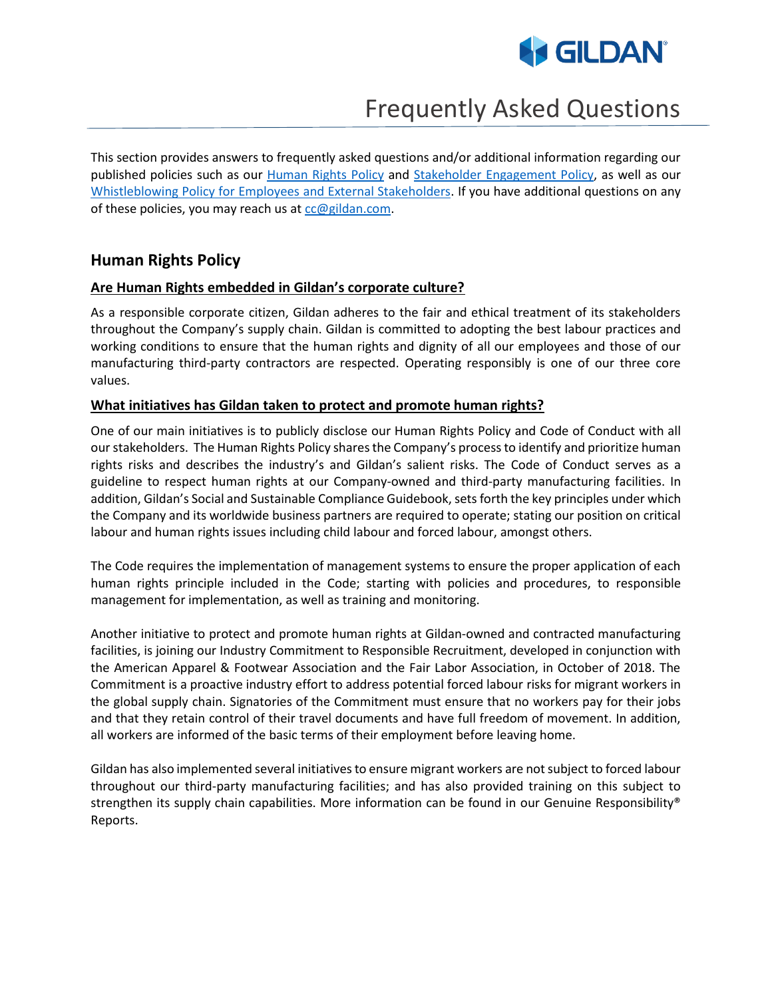

# Frequently Asked Questions

This section provides answers to frequently asked questions and/or additional information regarding our published policies such as our [Human Rights](https://www.genuineresponsibility.com/media/uploads/policies/human_rights_policy_xLgN7ap.pdf) Policy and [Stakeholder Engagement](https://www.genuineresponsibility.com/media/uploads/policies/stakeholder_engagement_policy.pdf) Policy, as well as our [Whistleblowing Policy for Employees and External Stakeholders.](https://secure.ethicspoint.eu/domain/media/en/gui/100213/index.html) If you have additional questions on any of these policies, you may reach us a[t cc@gildan.com.](mailto:cc@gildan.com)

# **Human Rights Policy**

#### **Are Human Rights embedded in Gildan's corporate culture?**

As a responsible corporate citizen, Gildan adheres to the fair and ethical treatment of its stakeholders throughout the Company's supply chain. Gildan is committed to adopting the best labour practices and working conditions to ensure that the human rights and dignity of all our employees and those of our manufacturing third-party contractors are respected. Operating responsibly is one of our three core values.

#### **What initiatives has Gildan taken to protect and promote human rights?**

One of our main initiatives is to publicly disclose our Human Rights Policy and Code of Conduct with all our stakeholders. The Human Rights Policy shares the Company's process to identify and prioritize human rights risks and describes the industry's and Gildan's salient risks. The Code of Conduct serves as a guideline to respect human rights at our Company-owned and third-party manufacturing facilities. In addition, Gildan's Social and Sustainable Compliance Guidebook, sets forth the key principles under which the Company and its worldwide business partners are required to operate; stating our position on critical labour and human rights issues including child labour and forced labour, amongst others.

The Code requires the implementation of management systems to ensure the proper application of each human rights principle included in the Code; starting with policies and procedures, to responsible management for implementation, as well as training and monitoring.

Another initiative to protect and promote human rights at Gildan-owned and contracted manufacturing facilities, is joining our Industry Commitment to Responsible Recruitment, developed in conjunction with the American Apparel & Footwear Association and the Fair Labor Association, in October of 2018. The Commitment is a proactive industry effort to address potential forced labour risks for migrant workers in the global supply chain. Signatories of the Commitment must ensure that no workers pay for their jobs and that they retain control of their travel documents and have full freedom of movement. In addition, all workers are informed of the basic terms of their employment before leaving home.

Gildan has also implemented several initiatives to ensure migrant workers are not subject to forced labour throughout our third-party manufacturing facilities; and has also provided training on this subject to strengthen its supply chain capabilities. More information can be found in our Genuine Responsibility® Reports.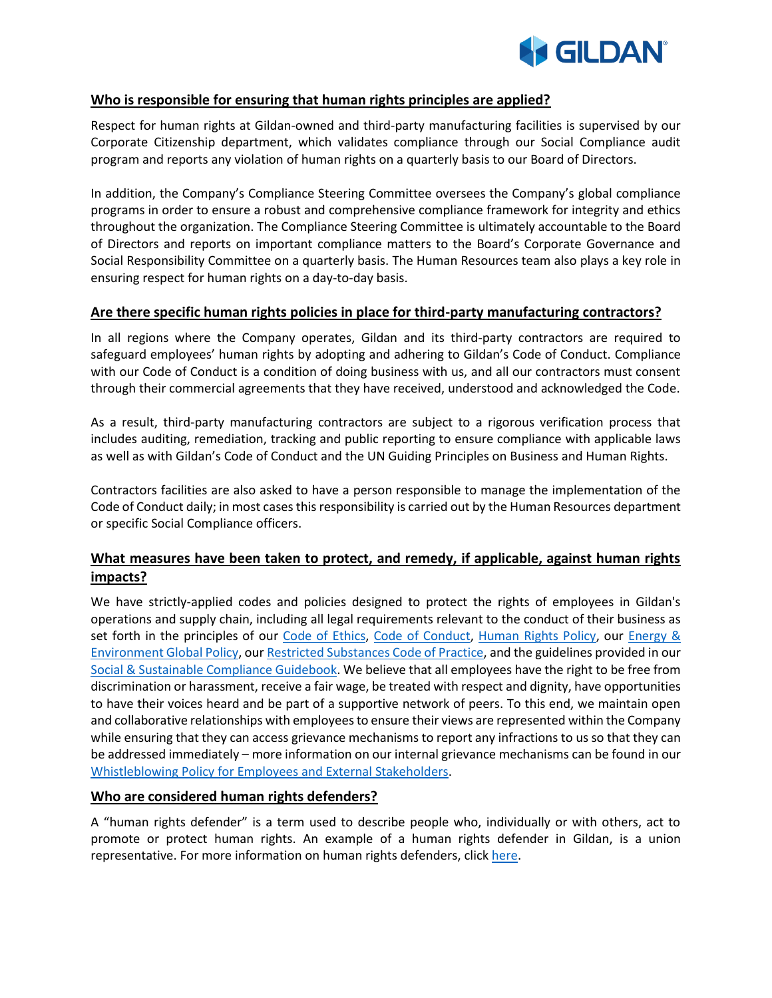

#### **Who is responsible for ensuring that human rights principles are applied?**

Respect for human rights at Gildan-owned and third-party manufacturing facilities is supervised by our Corporate Citizenship department, which validates compliance through our Social Compliance audit program and reports any violation of human rights on a quarterly basis to our Board of Directors.

In addition, the Company's Compliance Steering Committee oversees the Company's global compliance programs in order to ensure a robust and comprehensive compliance framework for integrity and ethics throughout the organization. The Compliance Steering Committee is ultimately accountable to the Board of Directors and reports on important compliance matters to the Board's Corporate Governance and Social Responsibility Committee on a quarterly basis. The Human Resources team also plays a key role in ensuring respect for human rights on a day-to-day basis.

#### **Are there specific human rights policies in place for third-party manufacturing contractors?**

In all regions where the Company operates, Gildan and its third-party contractors are required to safeguard employees' human rights by adopting and adhering to Gildan's Code of Conduct. Compliance with our Code of Conduct is a condition of doing business with us, and all our contractors must consent through their commercial agreements that they have received, understood and acknowledged the Code.

As a result, third-party manufacturing contractors are subject to a rigorous verification process that includes auditing, remediation, tracking and public reporting to ensure compliance with applicable laws as well as with Gildan's Code of Conduct and the UN Guiding Principles on Business and Human Rights.

Contractors facilities are also asked to have a person responsible to manage the implementation of the Code of Conduct daily; in most cases this responsibility is carried out by the Human Resources department or specific Social Compliance officers.

# **What measures have been taken to protect, and remedy, if applicable, against human rights impacts?**

We have strictly-applied codes and policies designed to protect the rights of employees in Gildan's operations and supply chain, including all legal requirements relevant to the conduct of their business as set forth in the principles of our [Code of Ethics,](https://www.genuineresponsibility.com/media/uploads/blocks/Codes/code_of_ethics_-_eng_for_website_Ta0sbgb.pdf) [Code of Conduct,](https://www.genuineresponsibility.com/media/uploads/blocks/Codes/code_of_conduct_poster_en_130818.pdf) [Human Rights Policy,](https://www.genuineresponsibility.com/media/uploads/policies/human_rights_policy_xLgN7ap.pdf) our [Energy &](https://www.genuineresponsibility.com/media/uploads/policies/global_environment_and_energy_policy.pdf)  [Environment Global Policy,](https://www.genuineresponsibility.com/media/uploads/policies/global_environment_and_energy_policy.pdf) ou[r Restricted Substances Code of Practice,](https://www.genuineresponsibility.com/media/uploads/blocks/Codes/cor_mag_004_-_gildans_sl_-_substances_list_rev.0_eng.pdf) and the guidelines provided in our [Social & Sustainable Compliance Guidebook.](https://www.genuineresponsibility.com/media/uploads/policies/social_and_sustainable_compliance_guidebook_2019.pdf) We believe that all employees have the right to be free from discrimination or harassment, receive a fair wage, be treated with respect and dignity, have opportunities to have their voices heard and be part of a supportive network of peers. To this end, we maintain open and collaborative relationships with employees to ensure their views are represented within the Company while ensuring that they can access grievance mechanisms to report any infractions to us so that they can be addressed immediately – more information on our internal grievance mechanisms can be found in our [Whistleblowing Policy for Employees and External Stakeholders.](https://secure.ethicspoint.eu/domain/media/en/gui/100213/index.html)

#### **Who are considered human rights defenders?**

A "human rights defender" is a term used to describe people who, individually or with others, act to promote or protect human rights. An example of a human rights defender in Gildan, is a union representative. For more information on human rights defenders, click [here.](https://www.ohchr.org/en/issues/srhrdefenders/pages/defender.aspx)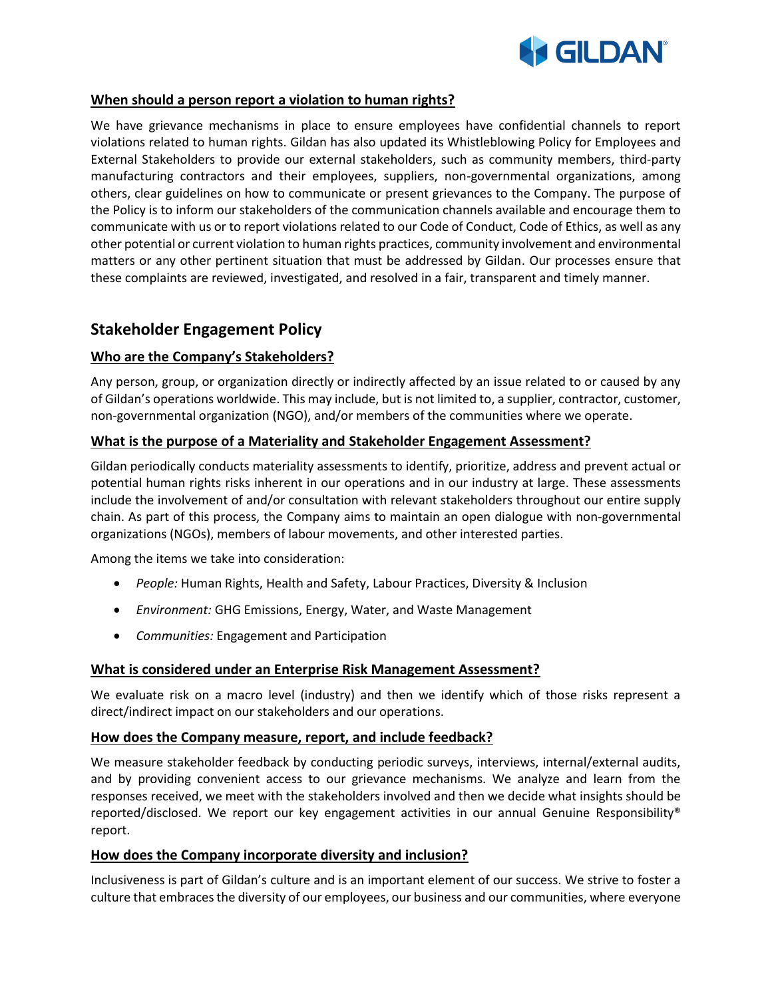

#### **When should a person report a violation to human rights?**

We have grievance mechanisms in place to ensure employees have confidential channels to report violations related to human rights. Gildan has also updated its Whistleblowing Policy for Employees and External Stakeholders to provide our external stakeholders, such as community members, third-party manufacturing contractors and their employees, suppliers, non-governmental organizations, among others, clear guidelines on how to communicate or present grievances to the Company. The purpose of the Policy is to inform our stakeholders of the communication channels available and encourage them to communicate with us or to report violations related to our Code of Conduct, Code of Ethics, as well as any other potential or current violation to human rights practices, community involvement and environmental matters or any other pertinent situation that must be addressed by Gildan. Our processes ensure that these complaints are reviewed, investigated, and resolved in a fair, transparent and timely manner.

# **Stakeholder Engagement Policy**

# **Who are the Company's Stakeholders?**

Any person, group, or organization directly or indirectly affected by an issue related to or caused by any of Gildan's operations worldwide. This may include, but is not limited to, a supplier, contractor, customer, non-governmental organization (NGO), and/or members of the communities where we operate.

## **What is the purpose of a Materiality and Stakeholder Engagement Assessment?**

Gildan periodically conducts materiality assessments to identify, prioritize, address and prevent actual or potential human rights risks inherent in our operations and in our industry at large. These assessments include the involvement of and/or consultation with relevant stakeholders throughout our entire supply chain. As part of this process, the Company aims to maintain an open dialogue with non-governmental organizations (NGOs), members of labour movements, and other interested parties.

Among the items we take into consideration:

- *People:* Human Rights, Health and Safety, Labour Practices, Diversity & Inclusion
- *Environment:* GHG Emissions, Energy, Water, and Waste Management
- *Communities:* Engagement and Participation

## **What is considered under an Enterprise Risk Management Assessment?**

We evaluate risk on a macro level (industry) and then we identify which of those risks represent a direct/indirect impact on our stakeholders and our operations.

## **How does the Company measure, report, and include feedback?**

We measure stakeholder feedback by conducting periodic surveys, interviews, internal/external audits, and by providing convenient access to our grievance mechanisms. We analyze and learn from the responses received, we meet with the stakeholders involved and then we decide what insights should be reported/disclosed. We report our key engagement activities in our annual Genuine Responsibility® report.

## **How does the Company incorporate diversity and inclusion?**

Inclusiveness is part of Gildan's culture and is an important element of our success. We strive to foster a culture that embraces the diversity of our employees, our business and our communities, where everyone